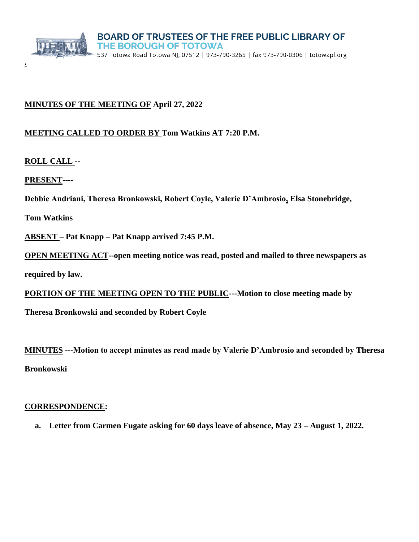

# **MINUTES OF THE MEETING OF April 27, 2022**

# **MEETING CALLED TO ORDER BY Tom Watkins AT 7:20 P.M.**

**ROLL CALL --**

**PRESENT----**

**.**

**Debbie Andriani, Theresa Bronkowski, Robert Coyle, Valerie D'Ambrosio, Elsa Stonebridge,** 

**Tom Watkins** 

**ABSENT – Pat Knapp – Pat Knapp arrived 7:45 P.M.** 

**OPEN MEETING ACT--open meeting notice was read, posted and mailed to three newspapers as** 

**required by law.**

**PORTION OF THE MEETING OPEN TO THE PUBLIC---Motion to close meeting made by** 

**Theresa Bronkowski and seconded by Robert Coyle**

**MINUTES ---Motion to accept minutes as read made by Valerie D'Ambrosio and seconded by Theresa Bronkowski**

### **CORRESPONDENCE:**

**a. Letter from Carmen Fugate asking for 60 days leave of absence, May 23 – August 1, 2022.**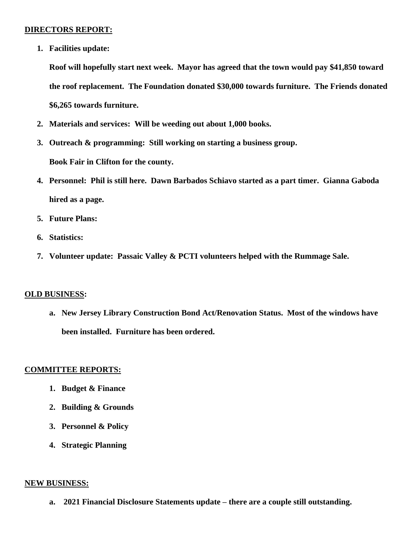### **DIRECTORS REPORT:**

**1. Facilities update:** 

**Roof will hopefully start next week. Mayor has agreed that the town would pay \$41,850 toward the roof replacement. The Foundation donated \$30,000 towards furniture. The Friends donated \$6,265 towards furniture.**

- **2. Materials and services: Will be weeding out about 1,000 books.**
- **3. Outreach & programming: Still working on starting a business group. Book Fair in Clifton for the county.**
- **4. Personnel: Phil is still here. Dawn Barbados Schiavo started as a part timer. Gianna Gaboda hired as a page.**
- **5. Future Plans:**
- **6. Statistics:**
- **7. Volunteer update: Passaic Valley & PCTI volunteers helped with the Rummage Sale.**

#### **OLD BUSINESS:**

**a. New Jersey Library Construction Bond Act/Renovation Status. Most of the windows have been installed. Furniture has been ordered.**

#### **COMMITTEE REPORTS:**

- **1. Budget & Finance**
- **2. Building & Grounds**
- **3. Personnel & Policy**
- **4. Strategic Planning**

#### **NEW BUSINESS:**

**a. 2021 Financial Disclosure Statements update – there are a couple still outstanding.**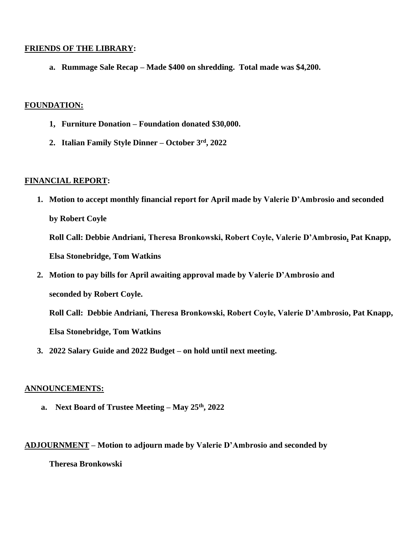### **FRIENDS OF THE LIBRARY:**

**a. Rummage Sale Recap – Made \$400 on shredding. Total made was \$4,200.**

### **FOUNDATION:**

- **1, Furniture Donation – Foundation donated \$30,000.**
- **2. Italian Family Style Dinner – October 3rd, 2022**

## **FINANCIAL REPORT:**

**1. Motion to accept monthly financial report for April made by Valerie D'Ambrosio and seconded by Robert Coyle**

**Roll Call: Debbie Andriani, Theresa Bronkowski, Robert Coyle, Valerie D'Ambrosio, Pat Knapp, Elsa Stonebridge, Tom Watkins**

**2. Motion to pay bills for April awaiting approval made by Valerie D'Ambrosio and seconded by Robert Coyle.**

**Roll Call: Debbie Andriani, Theresa Bronkowski, Robert Coyle, Valerie D'Ambrosio, Pat Knapp, Elsa Stonebridge, Tom Watkins** 

**3. 2022 Salary Guide and 2022 Budget – on hold until next meeting.**

## **ANNOUNCEMENTS:**

**a. Next Board of Trustee Meeting – May 25th, 2022**

### **ADJOURNMENT – Motion to adjourn made by Valerie D'Ambrosio and seconded by**

**Theresa Bronkowski**